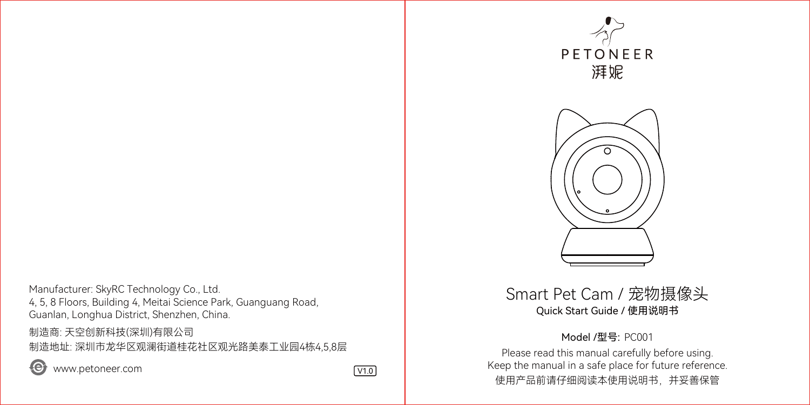Manufacturer: SkyRC Technology Co., Ltd. 4, 5, 8 Floors, Building 4, Meitai Science Park, Guanguang Road, Guanlan, Longhua District, Shenzhen, China.

制造商: 天空创新科技(深圳)有限公司 制造地址: 深圳市龙华区观澜街道桂花社区观光路美泰工业园4栋4,5,8层

www.petoneer.com V1.0







## Smart Pet Cam / 宠物摄像头 Quick Start Guide / 使用说明书

#### Model /型号: PC001

Please read this manual carefully before using. Keep the manual in a safe place for future reference. 使用产品前请仔细阅读本使用说明书,并妥善保管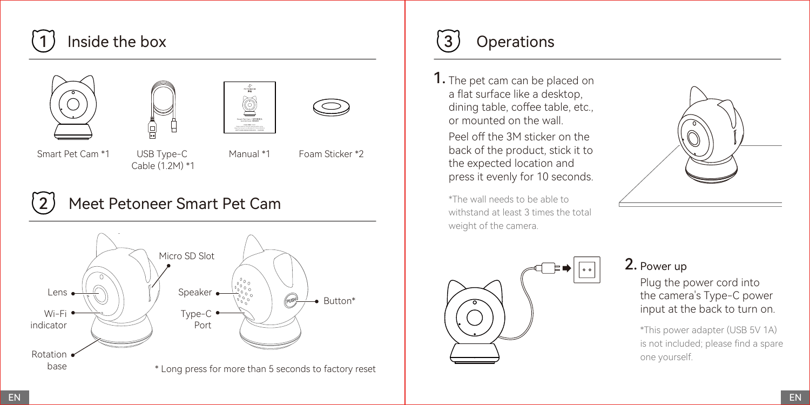# Inside the box 3 Operations







Smart Pet Cam \*1

- USB Type-C Cable (1.2M) \*1
- 

Manual \*1 Foam Sticker \*2

## Meet Petoneer Smart Pet Cam





1. The pet cam can be placed on a flat surface like a desktop, dining table, coffee table, etc., or mounted on the wall.

Peel off the 3M sticker on the back of the product, stick it to the expected location and press it evenly for 10 seconds.

\*The wall needs to be able to withstand at least 3 times the total weight of the camera.





## 2. Power up

Plug the power cord into the camera's Type-C power input at the back to turn on.

\*This power adapter (USB 5V 1A) is not included; please find a spare one yourself.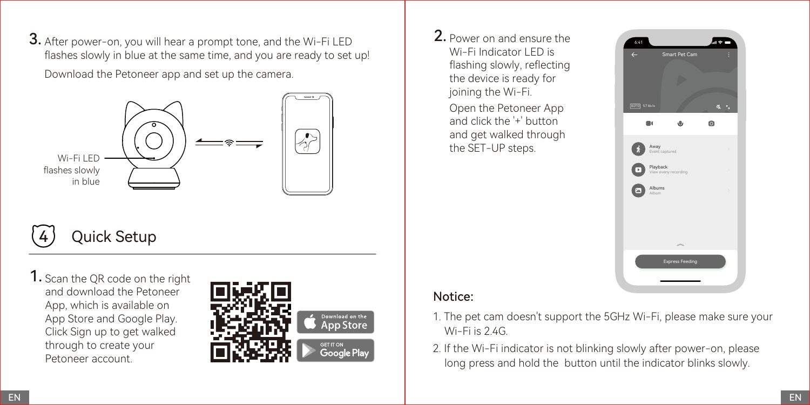**3.** After power-on, you will hear a prompt tone, and the Wi-Fi LED  $\begin{array}{|c|c|c|c|c|}\n\hline\n\textbf{2.} & \textbf{3.} & \textbf{1.} & \textbf{2.} \\
\hline\n\textbf{3.} & \textbf{4.} & \textbf{5.} & \textbf{6.} & \textbf{7.} \\
\hline\n\textbf{4.} & \textbf{5.} & \textbf{6.} & \textbf{7.} & \textbf{8.} \\
\hline\n\textbf{5.$ flashes slowly in blue at the same time, and you are ready to set up! Download the Petoneer app and set up the camera.



# Quick Setup

1. Scan the QR code on the right and download the Petoneer App, which is available on App Store and Google Play. Click Sign up to get walked through to create your Petoneer account.



2. Power on and ensure the Wi-Fi Indicator LED is flashing slowly, reflecting the device is ready for joining the Wi-Fi. Open the Petoneer App and click the '+' button and get walked through the SFT-UP steps.



## Notice:

- 1. The pet cam doesn't support the 5GHz Wi-Fi, please make sure your Wi-Fi is 2.4G.
- 2. If the Wi-Fi indicator is not blinking slowly after power-on, please long press and hold the button until the indicator blinks slowly.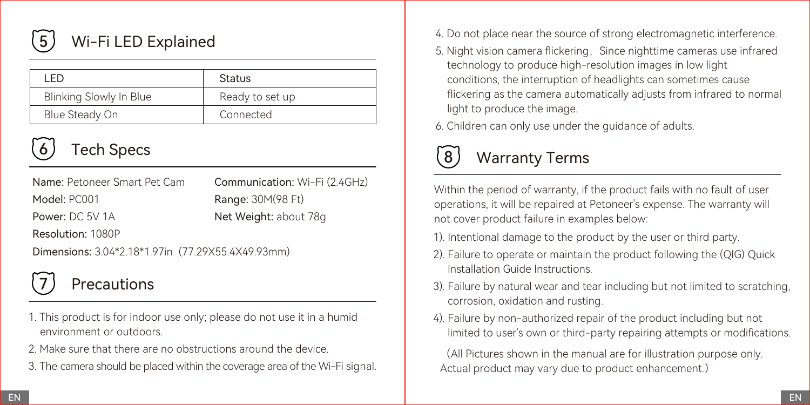

## Wi-Fi LED Explained

| LED                     | Status          |
|-------------------------|-----------------|
| Blinking Slowly In Blue | Ready to set up |
| Blue Steady On          | Connected       |

Name: Petoneer Smart Pet Cam

Model: PC001 Power: DC 5V 1A Communication: Wi-Fi (2.4GHz) Range: 30M(98 Ft) Net Weight: about 78g

Resolution: 1080P

Dimensions: 3.04\*2.18\*1.97in (77.29X55.4X49.93mm)



## Precautions

- 1. This product is for indoor use only; please do not use it in a humid environment or outdoors.
- 2. Make sure that there are no obstructions around the device.
- 3. The camera should be placed within the coverage area of the Wi-Fi signal.
- 4. Do not place near the source of strong electromagnetic interference.
- 5. Night vision camera flickering. Since nighttime cameras use infrared technology to produce high-resolution images in low light conditions, the interruption of headlights can sometimes cause flickering as the camera automatically adjusts from infrared to normal light to produce the image.
- 6. Children can only use under the guidance of adults.

# Tech Specs **Example 2 Second Lines** Contract Contract Contract Contract Contract Contract Contract Contract Contract Contract Contract Contract Contract Contract Contract Contract Contract Contract Contract Contract Contra

Within the period of warranty, if the product fails with no fault of user operations, it will be repaired at Petoneer's expense. The warranty will not cover product failure in examples below:

- 1). Intentional damage to the product by the user or third party.
- 2). Failure to operate or maintain the product following the (QIG) Quick Installation Guide Instructions.
- 3). Failure by natural wear and tear including but not limited to scratching, corrosion, oxidation and rusting.
- 4). Failure by non-authorized repair of the product including but not limited to user's own or third-party repairing attempts or modifications.

(All Pictures shown in the manual are for illustration purpose only. Actual product may vary due to product enhancement.)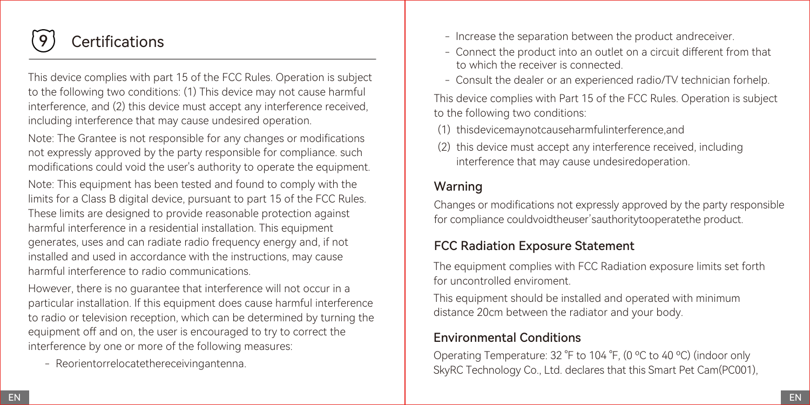

## **Certifications**

This device complies with part 15 of the FCC Rules. Operation is subject to the following two conditions: (1) This device may not cause harmful interference, and (2) this device must accept any interference received, including interference that may cause undesired operation.

Note: The Grantee is not responsible for any changes or modifications not expressly approved by the party responsible for compliance. such modifications could void the user's authority to operate the equipment. Note: This equipment has been tested and found to comply with the limits for a Class B digital device, pursuant to part 15 of the FCC Rules. These limits are designed to provide reasonable protection against harmful interference in a residential installation. This equipment generates, uses and can radiate radio frequency energy and, if not installed and used in accordance with the instructions, may cause harmful interference to radio communications.

However, there is no guarantee that interference will not occur in a particular installation. If this equipment does cause harmful interference to radio or television reception, which can be determined by turning the equipment off and on, the user is encouraged to try to correct the interference by one or more of the following measures:

- Reorientorrelocatethereceivingantenna.

- Increase the separation between the product andreceiver.
- Connect the product into an outlet on a circuit different from that to which the receiver is connected.
- Consult the dealer or an experienced radio/TV technician forhelp.

This device complies with Part 15 of the FCC Rules. Operation is subject to the following two conditions:

- (1) thisdevicemaynotcauseharmfulinterference and
- (2) this device must accept any interference received, including interference that may cause undesiredoperation.

## Warning

Changes or modifications not expressly approved by the party responsible for compliance couldvoidtheuser'sauthoritytooperatethe product.

## FCC Radiation Exposure Statement

The equipment complies with FCC Radiation exposure limits set forth for uncontrolled enviroment.

This equipment should be installed and operated with minimum distance 20cm between the radiator and your body.

## Environmental Conditions

Operating Temperature: 32 °F to 104 °F, (0 ºC to 40 ºC) (indoor only SkyRC Technology Co., Ltd. declares that this Smart Pet Cam(PC001),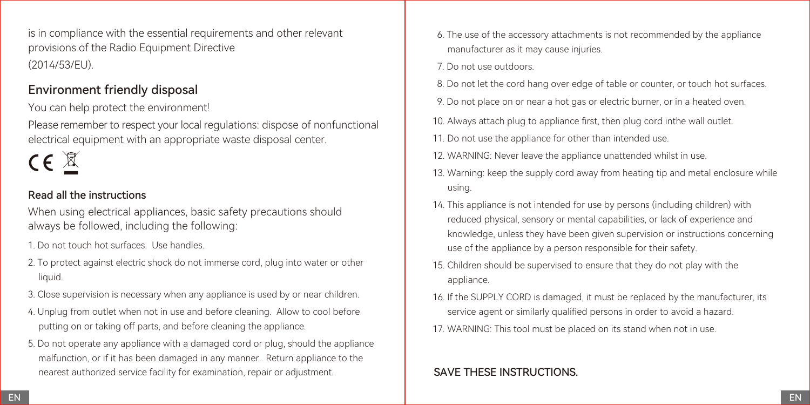is in compliance with the essential requirements and other relevant provisions of the Radio Equipment Directive (2014/53/EU).

### Environment friendly disposal

You can help protect the environment!

Please remember to respect your local regulations: dispose of nonfunctional electrical equipment with an appropriate waste disposal center.



#### Read all the instructions

When using electrical appliances, basic safety precautions should always be followed, including the following:

- 1. Do not touch hot surfaces. Use handles.
- 2. To protect against electric shock do not immerse cord, plug into water or other liquid.
- 3. Close supervision is necessary when any appliance is used by or near children.
- 4. Unplug from outlet when not in use and before cleaning. Allow to cool before putting on or taking off parts, and before cleaning the appliance.
- 5. Do not operate any appliance with a damaged cord or plug, should the appliance malfunction, or if it has been damaged in any manner. Return appliance to the nearest authorized service facility for examination, repair or adjustment.
- 6. The use of the accessory attachments is not recommended by the appliance manufacturer as it may cause injuries.
- 7. Do not use outdoors.
- 8. Do not let the cord hang over edge of table or counter, or touch hot surfaces.
- 9. Do not place on or near a hot gas or electric burner, or in a heated oven.
- 10. Always attach plug to appliance first, then plug cord inthe wall outlet.
- 11. Do not use the appliance for other than intended use.
- 12. WARNING: Never leave the appliance unattended whilst in use.
- 13. Warning: keep the supply cord away from heating tip and metal enclosure while using.
- 14. This appliance is not intended for use by persons (including children) with reduced physical, sensory or mental capabilities, or lack of experience and knowledge, unless they have been given supervision or instructions concerning use of the appliance by a person responsible for their safety.
- 15. Children should be supervised to ensure that they do not play with the appliance.
- 16. If the SUPPLY CORD is damaged, it must be replaced by the manufacturer, its service agent or similarly qualified persons in order to avoid a hazard.
- 17. WARNING: This tool must be placed on its stand when not in use.

## SAVE THESE INSTRUCTIONS.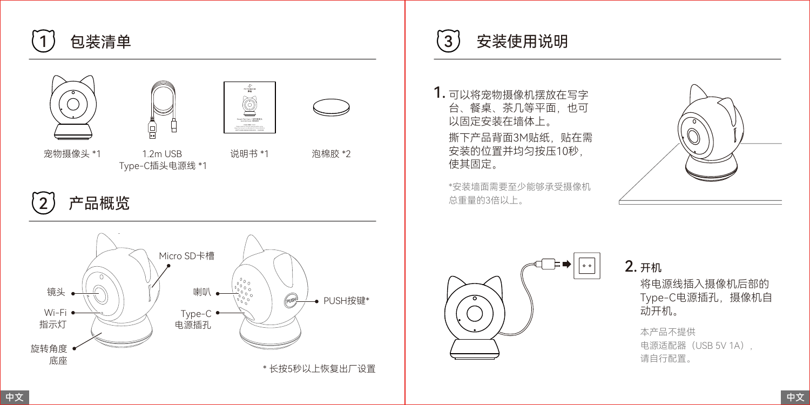







宠物摄像头 \*1

1.2m USB Type-C插头电源线 \*1

说明书 \*1 泡棉胶 \*2

2 产品概览



1 包装清单 3 安装使用说明

1. 可以将宠物摄像机摆放在写字 台、餐桌、茶几等平面,也可 以固定安装在墙体上。 撕下产品背面3M贴纸,贴在需 安装的位置并均匀按压10秒, 使其固定。

\*安装墙面需要至少能够承受摄像机 总重量的3倍以上。





开机 2.

将电源线插入摄像机后部的 Type-C电源插孔,摄像机自 动开机。

本产品不提供 电源适配器 (USB 5V 1A), 请自行配置。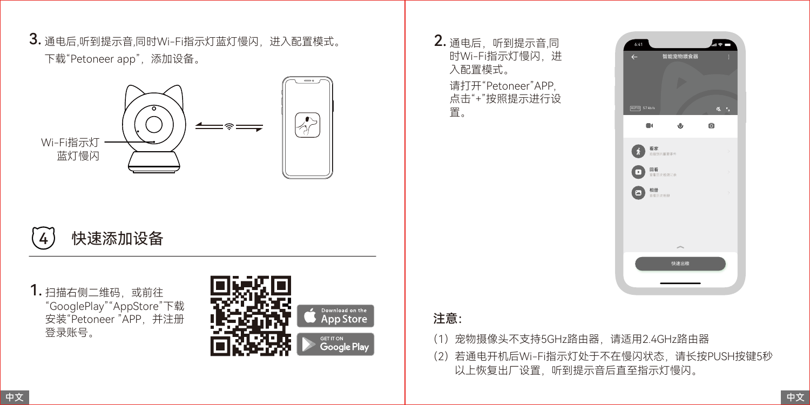3. 通电后,听到提示音,同时Wi-Fi指示灯蓝灯慢闪,进入配置模式。 下载"Petoneer app", 添加设备。



# 4 快速添加设备

1. 扫描右侧二维码,或前往 "GooglePlay""AppStore"下载 安装"Petoneer "APP,并注册 登录账号。



2. 通电后, 听到提示音,同 时Wi-Fi指示灯慢闪 讲 入配置模式。 请打开"Petoneer"APP, 点击"+"按照提示进行设 置。



## 注意:

- (1)宠物摄像头不支持5GHz路由器,请适用2.4GHz路由器
- (2)若通电开机后Wi-Fi指示灯处于不在慢闪状态,请长按PUSH按键5秒 以上恢复出厂设置,听到提示音后直至指示灯慢闪。